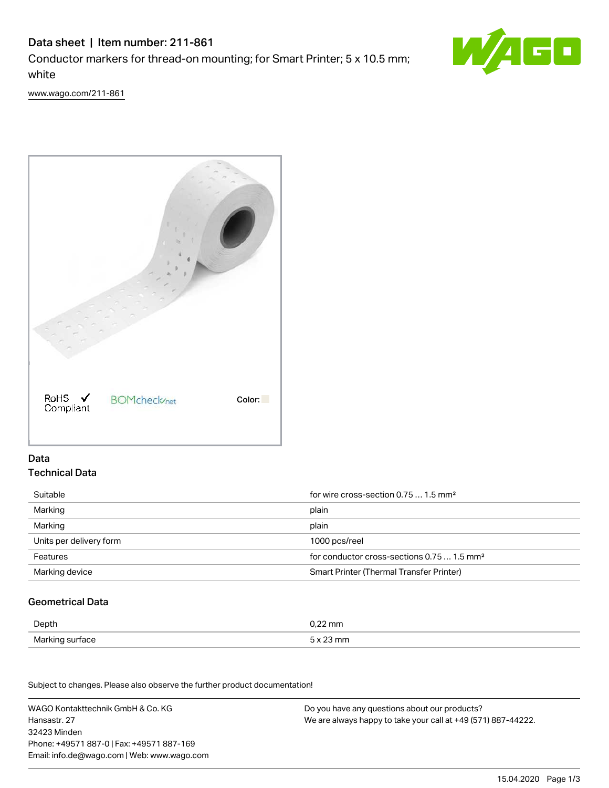# Data sheet | Item number: 211-861 Conductor markers for thread-on mounting; for Smart Printer; 5 x 10.5 mm; white



[www.wago.com/211-861](http://www.wago.com/211-861)



## Data Technical Data

| Suitable                | for wire cross-section 0.75  1.5 mm <sup>2</sup>       |  |
|-------------------------|--------------------------------------------------------|--|
| Marking                 | plain                                                  |  |
| Marking                 | plain                                                  |  |
| Units per delivery form | 1000 pcs/reel                                          |  |
| Features                | for conductor cross-sections 0.75  1.5 mm <sup>2</sup> |  |
| Marking device          | Smart Printer (Thermal Transfer Printer)               |  |

## Geometrical Data

| Depth           | $0.22$ mm |
|-----------------|-----------|
| Marking surface | mn        |

Subject to changes. Please also observe the further product documentation! Mechanical data

WAGO Kontakttechnik GmbH & Co. KG Hansastr. 27 32423 Minden Phone: +49571 887-0 | Fax: +49571 887-169 Email: info.de@wago.com | Web: www.wago.com Do you have any questions about our products? We are always happy to take your call at +49 (571) 887-44222.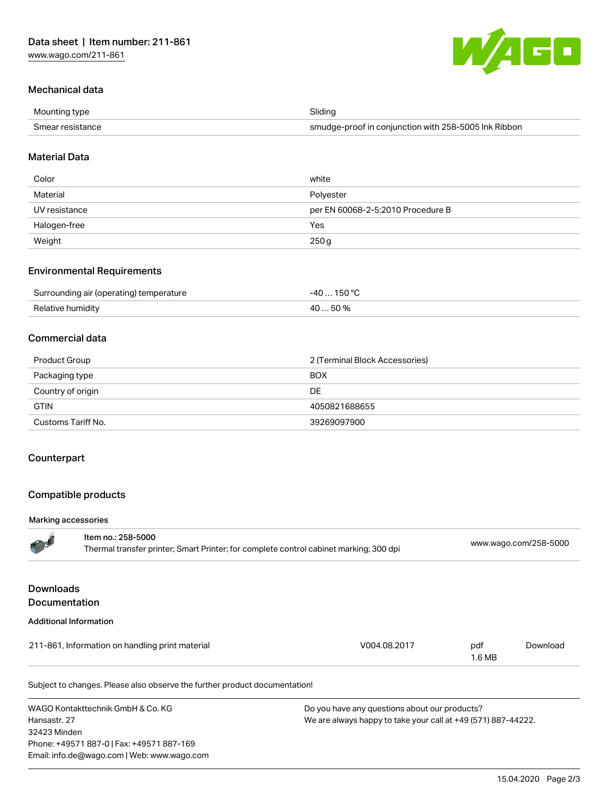

## Mechanical data

| Mounting type    | Slidina                                              |
|------------------|------------------------------------------------------|
| Smear resistance | smudge-proof in conjunction with 258-5005 Ink Ribbon |

### Material Data

| Color         | white                             |
|---------------|-----------------------------------|
| Material      | Polyester                         |
| UV resistance | per EN 60068-2-5:2010 Procedure B |
| Halogen-free  | Yes                               |
| Weight        | 250g                              |

#### Environmental Requirements

| Surrounding air (operating) temperature | .40 150°C |
|-----------------------------------------|-----------|
| Relative humidity                       | 40 50%    |

#### Commercial data

| Product Group      | 2 (Terminal Block Accessories) |
|--------------------|--------------------------------|
| Packaging type     | <b>BOX</b>                     |
| Country of origin  | DE.                            |
| <b>GTIN</b>        | 4050821688655                  |
| Customs Tariff No. | 39269097900                    |

#### **Counterpart**

### Compatible products

#### Marking accessories

|                                          | Item no.: 258-5000<br>Thermal transfer printer; Smart Printer; for complete control cabinet marking; 300 dpi |              |               | www.wago.com/258-5000 |  |
|------------------------------------------|--------------------------------------------------------------------------------------------------------------|--------------|---------------|-----------------------|--|
| <b>Downloads</b><br><b>Documentation</b> |                                                                                                              |              |               |                       |  |
|                                          | <b>Additional Information</b>                                                                                |              |               |                       |  |
|                                          | 211-861, Information on handling print material                                                              | V004.08.2017 | pdf<br>1.6 MB | Download              |  |
|                                          | Subject to changes. Please also observe the further product documentation!                                   |              |               |                       |  |

WAGO Kontakttechnik GmbH & Co. KG Hansastr. 27 32423 Minden Phone: +49571 887-0 | Fax: +49571 887-169 Email: info.de@wago.com | Web: www.wago.com

Do you have any questions about our products? We are always happy to take your call at +49 (571) 887-44222.